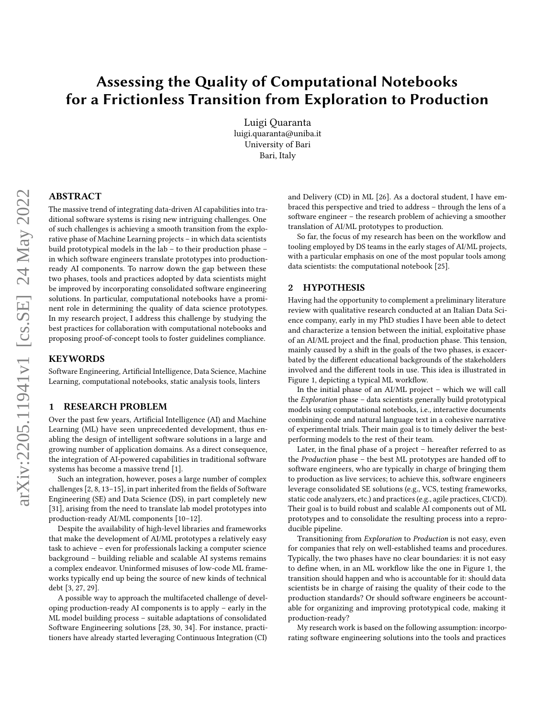# Assessing the Quality of Computational Notebooks for a Frictionless Transition from Exploration to Production

[Luigi Quaranta](https://orcid.org/0000-0002-9221-0739) luigi.quaranta@uniba.it University of Bari Bari, Italy

# ABSTRACT

The massive trend of integrating data-driven AI capabilities into traditional software systems is rising new intriguing challenges. One of such challenges is achieving a smooth transition from the explorative phase of Machine Learning projects – in which data scientists build prototypical models in the lab – to their production phase – in which software engineers translate prototypes into productionready AI components. To narrow down the gap between these two phases, tools and practices adopted by data scientists might be improved by incorporating consolidated software engineering solutions. In particular, computational notebooks have a prominent role in determining the quality of data science prototypes. In my research project, I address this challenge by studying the best practices for collaboration with computational notebooks and proposing proof-of-concept tools to foster guidelines compliance.

#### **KEYWORDS**

Software Engineering, Artificial Intelligence, Data Science, Machine Learning, computational notebooks, static analysis tools, linters

#### 1 RESEARCH PROBLEM

Over the past few years, Artificial Intelligence (AI) and Machine Learning (ML) have seen unprecedented development, thus enabling the design of intelligent software solutions in a large and growing number of application domains. As a direct consequence, the integration of AI-powered capabilities in traditional software systems has become a massive trend [\[1\]](#page-3-0).

Such an integration, however, poses a large number of complex challenges [\[2,](#page-3-1) [8,](#page-4-0) [13](#page-4-1)[–15\]](#page-4-2), in part inherited from the fields of Software Engineering (SE) and Data Science (DS), in part completely new [\[31\]](#page-4-3), arising from the need to translate lab model prototypes into production-ready AI/ML components [\[10–](#page-4-4)[12\]](#page-4-5).

Despite the availability of high-level libraries and frameworks that make the development of AI/ML prototypes a relatively easy task to achieve – even for professionals lacking a computer science background – building reliable and scalable AI systems remains a complex endeavor. Uninformed misuses of low-code ML frameworks typically end up being the source of new kinds of technical debt [\[3,](#page-3-2) [27,](#page-4-6) [29\]](#page-4-7).

A possible way to approach the multifaceted challenge of developing production-ready AI components is to apply – early in the ML model building process – suitable adaptations of consolidated Software Engineering solutions [\[28,](#page-4-8) [30,](#page-4-9) [34\]](#page-4-10). For instance, practitioners have already started leveraging Continuous Integration (CI) and Delivery (CD) in ML [\[26\]](#page-4-11). As a doctoral student, I have embraced this perspective and tried to address – through the lens of a software engineer – the research problem of achieving a smoother translation of AI/ML prototypes to production.

So far, the focus of my research has been on the workflow and tooling employed by DS teams in the early stages of AI/ML projects, with a particular emphasis on one of the most popular tools among data scientists: the computational notebook [\[25\]](#page-4-12).

#### <span id="page-0-0"></span>2 HYPOTHESIS

Having had the opportunity to complement a preliminary literature review with qualitative research conducted at an Italian Data Science company, early in my PhD studies I have been able to detect and characterize a tension between the initial, exploitative phase of an AI/ML project and the final, production phase. This tension, mainly caused by a shift in the goals of the two phases, is exacerbated by the different educational backgrounds of the stakeholders involved and the different tools in use. This idea is illustrated in Figure [1,](#page-1-0) depicting a typical ML workflow.

In the initial phase of an AI/ML project – which we will call the Exploration phase – data scientists generally build prototypical models using computational notebooks, i.e., interactive documents combining code and natural language text in a cohesive narrative of experimental trials. Their main goal is to timely deliver the bestperforming models to the rest of their team.

Later, in the final phase of a project – hereafter referred to as the Production phase – the best ML prototypes are handed off to software engineers, who are typically in charge of bringing them to production as live services; to achieve this, software engineers leverage consolidated SE solutions (e.g., VCS, testing frameworks, static code analyzers, etc.) and practices (e.g., agile practices, CI/CD). Their goal is to build robust and scalable AI components out of ML prototypes and to consolidate the resulting process into a reproducible pipeline.

Transitioning from Exploration to Production is not easy, even for companies that rely on well-established teams and procedures. Typically, the two phases have no clear boundaries: it is not easy to define when, in an ML workflow like the one in Figure [1,](#page-1-0) the transition should happen and who is accountable for it: should data scientists be in charge of raising the quality of their code to the production standards? Or should software engineers be accountable for organizing and improving prototypical code, making it production-ready?

My research work is based on the following assumption: incorporating software engineering solutions into the tools and practices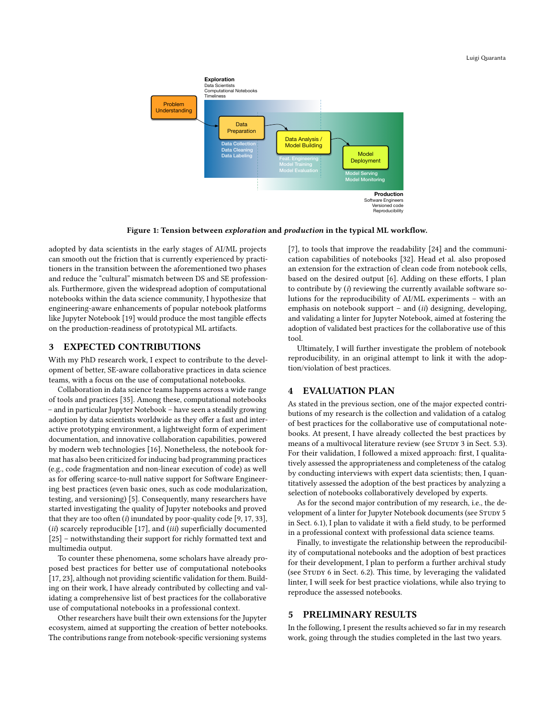#### Luigi Quaranta

<span id="page-1-0"></span>

Figure 1: Tension between exploration and production in the typical ML workflow.

adopted by data scientists in the early stages of AI/ML projects can smooth out the friction that is currently experienced by practitioners in the transition between the aforementioned two phases and reduce the "cultural" mismatch between DS and SE professionals. Furthermore, given the widespread adoption of computational notebooks within the data science community, I hypothesize that engineering-aware enhancements of popular notebook platforms like Jupyter Notebook [\[19\]](#page-4-13) would produce the most tangible effects on the production-readiness of prototypical ML artifacts.

#### 3 EXPECTED CONTRIBUTIONS

With my PhD research work, I expect to contribute to the development of better, SE-aware collaborative practices in data science teams, with a focus on the use of computational notebooks.

Collaboration in data science teams happens across a wide range of tools and practices [\[35\]](#page-4-14). Among these, computational notebooks – and in particular Jupyter Notebook – have seen a steadily growing adoption by data scientists worldwide as they offer a fast and interactive prototyping environment, a lightweight form of experiment documentation, and innovative collaboration capabilities, powered by modern web technologies [\[16\]](#page-4-15). Nonetheless, the notebook format has also been criticized for inducing bad programming practices (e.g., code fragmentation and non-linear execution of code) as well as for offering scarce-to-null native support for Software Engineering best practices (even basic ones, such as code modularization, testing, and versioning) [\[5\]](#page-3-3). Consequently, many researchers have started investigating the quality of Jupyter notebooks and proved that they are too often  $(i)$  inundated by poor-quality code [\[9,](#page-4-16) [17,](#page-4-17) [33\]](#page-4-18), (ii) scarcely reproducible [\[17\]](#page-4-17), and (iii) superficially documented [\[25\]](#page-4-12) – notwithstanding their support for richly formatted text and multimedia output.

To counter these phenomena, some scholars have already proposed best practices for better use of computational notebooks [\[17,](#page-4-17) [23\]](#page-4-19), although not providing scientific validation for them. Building on their work, I have already contributed by collecting and validating a comprehensive list of best practices for the collaborative use of computational notebooks in a professional context.

Other researchers have built their own extensions for the Jupyter ecosystem, aimed at supporting the creation of better notebooks. The contributions range from notebook-specific versioning systems

[\[7\]](#page-4-20), to tools that improve the readability [\[24\]](#page-4-21) and the communication capabilities of notebooks [\[32\]](#page-4-22). Head et al. also proposed an extension for the extraction of clean code from notebook cells, based on the desired output [\[6\]](#page-4-23). Adding on these efforts, I plan to contribute by  $(i)$  reviewing the currently available software solutions for the reproducibility of AI/ML experiments – with an emphasis on notebook support – and (ii) designing, developing, and validating a linter for Jupyter Notebook, aimed at fostering the adoption of validated best practices for the collaborative use of this tool.

Ultimately, I will further investigate the problem of notebook reproducibility, in an original attempt to link it with the adoption/violation of best practices.

# 4 EVALUATION PLAN

As stated in the previous section, one of the major expected contributions of my research is the collection and validation of a catalog of best practices for the collaborative use of computational notebooks. At present, I have already collected the best practices by means of a multivocal literature review (see STUDY 3 in Sect. [5.3\)](#page-2-0). For their validation, I followed a mixed approach: first, I qualitatively assessed the appropriateness and completeness of the catalog by conducting interviews with expert data scientists; then, I quantitatively assessed the adoption of the best practices by analyzing a selection of notebooks collaboratively developed by experts.

As for the second major contribution of my research, i.e., the development of a linter for Jupyter Notebook documents (see STUDY 5 in Sect. [6.1\)](#page-3-4), I plan to validate it with a field study, to be performed in a professional context with professional data science teams.

Finally, to investigate the relationship between the reproducibility of computational notebooks and the adoption of best practices for their development, I plan to perform a further archival study (see Study 6 in Sect. [6.2\)](#page-3-5). This time, by leveraging the validated linter, I will seek for best practice violations, while also trying to reproduce the assessed notebooks.

#### 5 PRELIMINARY RESULTS

In the following, I present the results achieved so far in my research work, going through the studies completed in the last two years.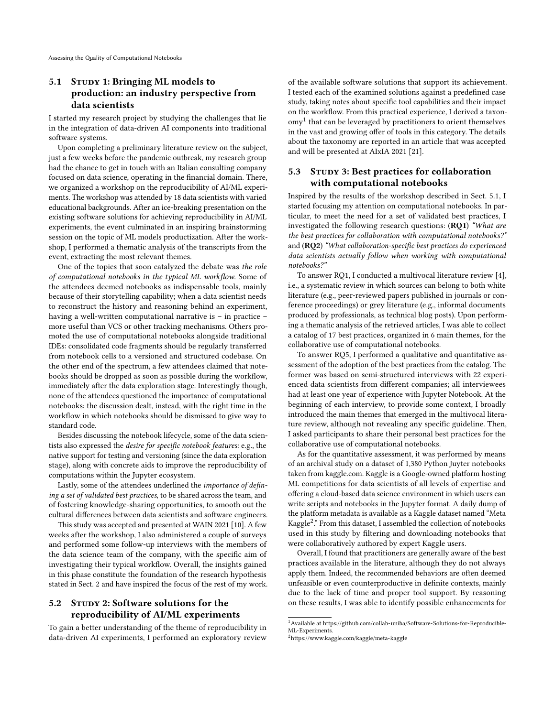# <span id="page-2-2"></span>5.1 STUDY 1: Bringing ML models to production: an industry perspective from data scientists

I started my research project by studying the challenges that lie in the integration of data-driven AI components into traditional software systems.

Upon completing a preliminary literature review on the subject, just a few weeks before the pandemic outbreak, my research group had the chance to get in touch with an Italian consulting company focused on data science, operating in the financial domain. There, we organized a workshop on the reproducibility of AI/ML experiments. The workshop was attended by 18 data scientists with varied educational backgrounds. After an ice-breaking presentation on the existing software solutions for achieving reproducibility in AI/ML experiments, the event culminated in an inspiring brainstorming session on the topic of ML models productization. After the workshop, I performed a thematic analysis of the transcripts from the event, extracting the most relevant themes.

One of the topics that soon catalyzed the debate was the role of computational notebooks in the typical ML workflow. Some of the attendees deemed notebooks as indispensable tools, mainly because of their storytelling capability; when a data scientist needs to reconstruct the history and reasoning behind an experiment, having a well-written computational narrative is – in practice – more useful than VCS or other tracking mechanisms. Others promoted the use of computational notebooks alongside traditional IDEs: consolidated code fragments should be regularly transferred from notebook cells to a versioned and structured codebase. On the other end of the spectrum, a few attendees claimed that notebooks should be dropped as soon as possible during the workflow, immediately after the data exploration stage. Interestingly though, none of the attendees questioned the importance of computational notebooks: the discussion dealt, instead, with the right time in the workflow in which notebooks should be dismissed to give way to standard code.

Besides discussing the notebook lifecycle, some of the data scientists also expressed the desire for specific notebook features: e.g., the native support for testing and versioning (since the data exploration stage), along with concrete aids to improve the reproducibility of computations within the Jupyter ecosystem.

Lastly, some of the attendees underlined the importance of defining a set of validated best practices, to be shared across the team, and of fostering knowledge-sharing opportunities, to smooth out the cultural differences between data scientists and software engineers.

This study was accepted and presented at WAIN 2021 [\[10\]](#page-4-4). A few weeks after the workshop, I also administered a couple of surveys and performed some follow-up interviews with the members of the data science team of the company, with the specific aim of investigating their typical workflow. Overall, the insights gained in this phase constitute the foundation of the research hypothesis stated in Sect. [2](#page-0-0) and have inspired the focus of the rest of my work.

# 5.2 STUDY 2: Software solutions for the reproducibility of AI/ML experiments

To gain a better understanding of the theme of reproducibility in data-driven AI experiments, I performed an exploratory review

of the available software solutions that support its achievement. I tested each of the examined solutions against a predefined case study, taking notes about specific tool capabilities and their impact on the workflow. From this practical experience, I derived a taxon- $\frac{1}{2}$  $\frac{1}{2}$  $\frac{1}{2}$  that can be leveraged by practitioners to orient themselves in the vast and growing offer of tools in this category. The details about the taxonomy are reported in an article that was accepted and will be presented at AIxIA 2021 [\[21\]](#page-4-24).

# <span id="page-2-0"></span>5.3 Study 3: Best practices for collaboration with computational notebooks

Inspired by the results of the workshop described in Sect. [5.1,](#page-2-2) I started focusing my attention on computational notebooks. In particular, to meet the need for a set of validated best practices, I investigated the following research questions: (RQ1) "What are the best practices for collaboration with computational notebooks?" and (RQ2) "What collaboration-specific best practices do experienced data scientists actually follow when working with computational notebooks?"

To answer RQ1, I conducted a multivocal literature review [\[4\]](#page-3-6), i.e., a systematic review in which sources can belong to both white literature (e.g., peer-reviewed papers published in journals or conference proceedings) or grey literature (e.g., informal documents produced by professionals, as technical blog posts). Upon performing a thematic analysis of the retrieved articles, I was able to collect a catalog of 17 best practices, organized in 6 main themes, for the collaborative use of computational notebooks.

To answer RQ5, I performed a qualitative and quantitative assessment of the adoption of the best practices from the catalog. The former was based on semi-structured interviews with 22 experienced data scientists from different companies; all interviewees had at least one year of experience with Jupyter Notebook. At the beginning of each interview, to provide some context, I broadly introduced the main themes that emerged in the multivocal literature review, although not revealing any specific guideline. Then, I asked participants to share their personal best practices for the collaborative use of computational notebooks.

As for the quantitative assessment, it was performed by means of an archival study on a dataset of 1,380 Python Juyter notebooks taken from [kaggle.com.](kaggle.com) Kaggle is a Google-owned platform hosting ML competitions for data scientists of all levels of expertise and offering a cloud-based data science environment in which users can write scripts and notebooks in the Jupyter format. A daily dump of the platform metadata is available as a Kaggle dataset named "Meta Kaggle[2](#page-2-3) ." From this dataset, I assembled the collection of notebooks used in this study by filtering and downloading notebooks that were collaboratively authored by expert Kaggle users.

Overall, I found that practitioners are generally aware of the best practices available in the literature, although they do not always apply them. Indeed, the recommended behaviors are often deemed unfeasible or even counterproductive in definite contexts, mainly due to the lack of time and proper tool support. By reasoning on these results, I was able to identify possible enhancements for

<span id="page-2-1"></span> $^1$  Available at [https://github.com/collab-uniba/Software-Solutions-for-Reproducible-](https://github.com/collab-uniba/Software-Solutions-for-Reproducible-ML-Experiments)[ML-Experiments.](https://github.com/collab-uniba/Software-Solutions-for-Reproducible-ML-Experiments)

<span id="page-2-3"></span><sup>2</sup><https://www.kaggle.com/kaggle/meta-kaggle>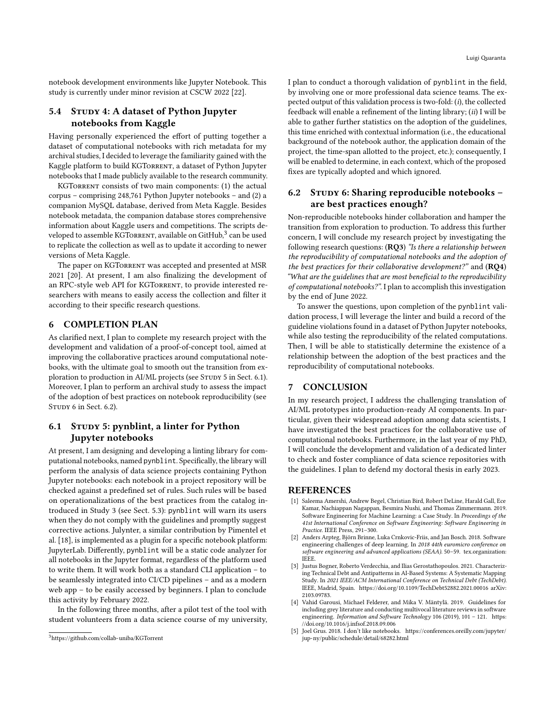notebook development environments like Jupyter Notebook. This study is currently under minor revision at CSCW 2022 [\[22\]](#page-4-25).

### 5.4 STUDY 4: A dataset of Python Jupyter notebooks from Kaggle

Having personally experienced the effort of putting together a dataset of computational notebooks with rich metadata for my archival studies, I decided to leverage the familiarity gained with the Kaggle platform to build KGTORRENT, a dataset of Python Jupyter notebooks that I made publicly available to the research community.

KGTORRENT consists of two main components: (1) the actual corpus – comprising 248,761 Python Jupyter notebooks – and (2) a companion MySQL database, derived from Meta Kaggle. Besides notebook metadata, the companion database stores comprehensive information about Kaggle users and competitions. The scripts developed to assemble KGTORRENT, available on GitHub,  $^3$  $^3$  can be used to replicate the collection as well as to update it according to newer versions of Meta Kaggle.

The paper on KGTORRENT was accepted and presented at MSR 2021 [\[20\]](#page-4-26). At present, I am also finalizing the development of an RPC-style web API for KGTORRENT, to provide interested researchers with means to easily access the collection and filter it according to their specific research questions.

#### 6 COMPLETION PLAN

As clarified next, I plan to complete my research project with the development and validation of a proof-of-concept tool, aimed at improving the collaborative practices around computational notebooks, with the ultimate goal to smooth out the transition from ex-ploration to production in AI/ML projects (see STUDY 5 in Sect. [6.1\)](#page-3-4). Moreover, I plan to perform an archival study to assess the impact of the adoption of best practices on notebook reproducibility (see STUDY 6 in Sect. [6.2\)](#page-3-5).

# <span id="page-3-4"></span>6.1 STUDY 5: pynblint, a linter for Python Jupyter notebooks

At present, I am designing and developing a linting library for computational notebooks, named pynblint. Specifically, the library will perform the analysis of data science projects containing Python Jupyter notebooks: each notebook in a project repository will be checked against a predefined set of rules. Such rules will be based on operationalizations of the best practices from the catalog introduced in Study 3 (see Sect. [5.3\)](#page-2-0): pynblint will warn its users when they do not comply with the guidelines and promptly suggest corrective actions. Julynter, a similar contribution by Pimentel et al. [\[18\]](#page-4-27), is implemented as a plugin for a specific notebook platform: JupyterLab. Differently, pynblint will be a static code analyzer for all notebooks in the Jupyter format, regardless of the platform used to write them. It will work both as a standard CLI application – to be seamlessly integrated into CI/CD pipelines – and as a modern web app – to be easily accessed by beginners. I plan to conclude this activity by February 2022.

In the following three months, after a pilot test of the tool with student volunteers from a data science course of my university, I plan to conduct a thorough validation of pynblint in the field, by involving one or more professional data science teams. The expected output of this validation process is two-fold:  $(i)$ , the collected feedback will enable a refinement of the linting library; (ii) I will be able to gather further statistics on the adoption of the guidelines, this time enriched with contextual information (i.e., the educational background of the notebook author, the application domain of the project, the time-span allotted to the project, etc.); consequently, I will be enabled to determine, in each context, which of the proposed fixes are typically adopted and which ignored.

## <span id="page-3-5"></span>6.2 STUDY 6: Sharing reproducible notebooks are best practices enough?

Non-reproducible notebooks hinder collaboration and hamper the transition from exploration to production. To address this further concern, I will conclude my research project by investigating the following research questions: (RQ3) "Is there a relationship between the reproducibility of computational notebooks and the adoption of the best practices for their collaborative development?" and (RQ4) "What are the guidelines that are most beneficial to the reproducibility of computational notebooks?". I plan to accomplish this investigation by the end of June 2022.

To answer the questions, upon completion of the pynblint validation process, I will leverage the linter and build a record of the guideline violations found in a dataset of Python Jupyter notebooks, while also testing the reproducibility of the related computations. Then, I will be able to statistically determine the existence of a relationship between the adoption of the best practices and the reproducibility of computational notebooks.

### 7 CONCLUSION

In my research project, I address the challenging translation of AI/ML prototypes into production-ready AI components. In particular, given their widespread adoption among data scientists, I have investigated the best practices for the collaborative use of computational notebooks. Furthermore, in the last year of my PhD, I will conclude the development and validation of a dedicated linter to check and foster compliance of data science repositories with the guidelines. I plan to defend my doctoral thesis in early 2023.

#### REFERENCES

- <span id="page-3-0"></span>[1] Saleema Amershi, Andrew Begel, Christian Bird, Robert DeLine, Harald Gall, Ece Kamar, Nachiappan Nagappan, Besmira Nushi, and Thomas Zimmermann. 2019. Software Engineering for Machine Learning: a Case Study. In Proceedings of the 41st International Conference on Software Engineering: Software Engineering in Practice. IEEE Press, 291–300.
- <span id="page-3-1"></span>[2] Anders Arpteg, Björn Brinne, Luka Crnkovic-Friis, and Jan Bosch. 2018. Software engineering challenges of deep learning. In 2018 44th euromicro conference on software engineering and advanced applications (SEAA). 50–59. tex.organization: IEEE.
- <span id="page-3-2"></span>[3] Justus Bogner, Roberto Verdecchia, and Ilias Gerostathopoulos. 2021. Characterizing Technical Debt and Antipatterns in AI-Based Systems: A Systematic Mapping Study. In 2021 IEEE/ACM International Conference on Technical Debt (TechDebt). IEEE, Madrid, Spain.<https://doi.org/10.1109/TechDebt52882.2021.00016> arXiv: 2103.09783.
- <span id="page-3-6"></span>[4] Vahid Garousi, Michael Felderer, and Mika V. Mäntylä. 2019. Guidelines for including grey literature and conducting multivocal literature reviews in software engineering. Information and Software Technology 106 (2019), 101 - 121. [https:](https://doi.org/10.1016/j.infsof.2018.09.006) [//doi.org/10.1016/j.infsof.2018.09.006](https://doi.org/10.1016/j.infsof.2018.09.006)
- <span id="page-3-3"></span>[5] Joel Grus. 2018. I don't like notebooks. [https://conferences.oreilly.com/jupyter/](https://conferences.oreilly.com/jupyter/jup-ny/public/schedule/detail/68282.html) [jup-ny/public/schedule/detail/68282.html](https://conferences.oreilly.com/jupyter/jup-ny/public/schedule/detail/68282.html)

<span id="page-3-7"></span><sup>3</sup><https://github.com/collab-uniba/KGTorrent>